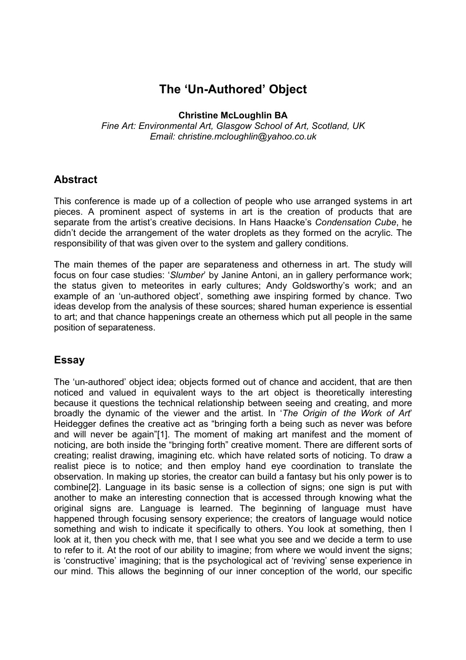# **The 'Un-Authored' Object**

**Christine McLoughlin BA** 

*Fine Art: Environmental Art, Glasgow School of Art, Scotland, UK Email: christine.mcloughlin@yahoo.co.uk* 

## **Abstract**

This conference is made up of a collection of people who use arranged systems in art pieces. A prominent aspect of systems in art is the creation of products that are separate from the artist's creative decisions. In Hans Haacke's *Condensation Cube*, he didn't decide the arrangement of the water droplets as they formed on the acrylic. The responsibility of that was given over to the system and gallery conditions.

The main themes of the paper are separateness and otherness in art. The study will focus on four case studies: '*Slumber*' by Janine Antoni, an in gallery performance work; the status given to meteorites in early cultures; Andy Goldsworthy's work; and an example of an 'un-authored object', something awe inspiring formed by chance. Two ideas develop from the analysis of these sources; shared human experience is essential to art; and that chance happenings create an otherness which put all people in the same position of separateness.

## **Essay**

The 'un-authored' object idea; objects formed out of chance and accident, that are then noticed and valued in equivalent ways to the art object is theoretically interesting because it questions the technical relationship between seeing and creating, and more broadly the dynamic of the viewer and the artist. In '*The Origin of the Work of Art*' Heidegger defines the creative act as "bringing forth a being such as never was before and will never be again"[1]. The moment of making art manifest and the moment of noticing, are both inside the "bringing forth" creative moment. There are different sorts of creating; realist drawing, imagining etc. which have related sorts of noticing. To draw a realist piece is to notice; and then employ hand eye coordination to translate the observation. In making up stories, the creator can build a fantasy but his only power is to combine[2]. Language in its basic sense is a collection of signs; one sign is put with another to make an interesting connection that is accessed through knowing what the original signs are. Language is learned. The beginning of language must have happened through focusing sensory experience; the creators of language would notice something and wish to indicate it specifically to others. You look at something, then I look at it, then you check with me, that I see what you see and we decide a term to use to refer to it. At the root of our ability to imagine; from where we would invent the signs; is 'constructive' imagining; that is the psychological act of 'reviving' sense experience in our mind. This allows the beginning of our inner conception of the world, our specific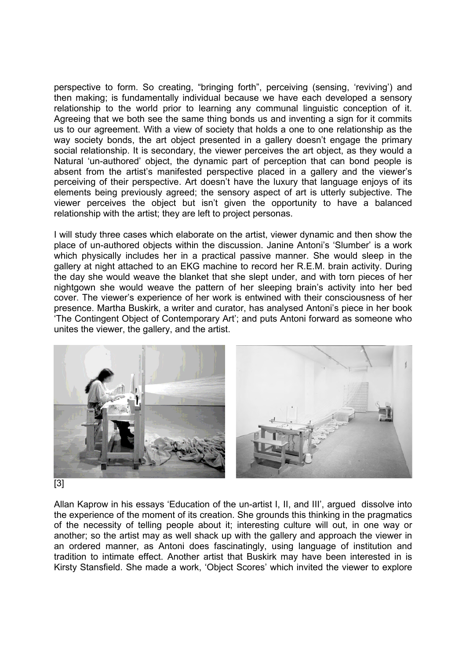perspective to form. So creating, "bringing forth", perceiving (sensing, 'reviving') and then making; is fundamentally individual because we have each developed a sensory relationship to the world prior to learning any communal linguistic conception of it. Agreeing that we both see the same thing bonds us and inventing a sign for it commits us to our agreement. With a view of society that holds a one to one relationship as the way society bonds, the art object presented in a gallery doesn't engage the primary social relationship. It is secondary, the viewer perceives the art object, as they would a Natural 'un-authored' object, the dynamic part of perception that can bond people is absent from the artist's manifested perspective placed in a gallery and the viewer's perceiving of their perspective. Art doesn't have the luxury that language enjoys of its elements being previously agreed; the sensory aspect of art is utterly subjective. The viewer perceives the object but isn't given the opportunity to have a balanced relationship with the artist; they are left to project personas.

I will study three cases which elaborate on the artist, viewer dynamic and then show the place of un-authored objects within the discussion. Janine Antoni's 'Slumber' is a work which physically includes her in a practical passive manner. She would sleep in the gallery at night attached to an EKG machine to record her R.E.M. brain activity. During the day she would weave the blanket that she slept under, and with torn pieces of her nightgown she would weave the pattern of her sleeping brain's activity into her bed cover. The viewer's experience of her work is entwined with their consciousness of her presence. Martha Buskirk, a writer and curator, has analysed Antoni's piece in her book 'The Contingent Object of Contemporary Art'; and puts Antoni forward as someone who unites the viewer, the gallery, and the artist.



#### [3]

Allan Kaprow in his essays 'Education of the un-artist I, II, and III', argued dissolve into the experience of the moment of its creation. She grounds this thinking in the pragmatics of the necessity of telling people about it; interesting culture will out, in one way or another; so the artist may as well shack up with the gallery and approach the viewer in an ordered manner, as Antoni does fascinatingly, using language of institution and tradition to intimate effect. Another artist that Buskirk may have been interested in is Kirsty Stansfield. She made a work, 'Object Scores' which invited the viewer to explore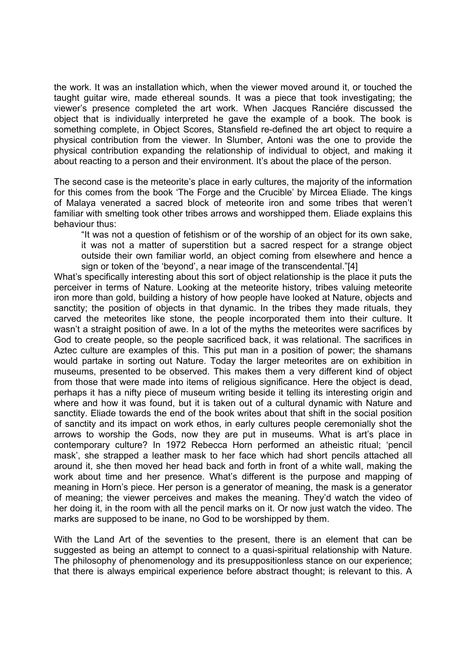the work. It was an installation which, when the viewer moved around it, or touched the taught guitar wire, made ethereal sounds. It was a piece that took investigating; the viewer's presence completed the art work. When Jacques Ranciére discussed the object that is individually interpreted he gave the example of a book. The book is something complete, in Object Scores, Stansfield re-defined the art object to require a physical contribution from the viewer. In Slumber, Antoni was the one to provide the physical contribution expanding the relationship of individual to object, and making it about reacting to a person and their environment. It's about the place of the person.

The second case is the meteorite's place in early cultures, the majority of the information for this comes from the book 'The Forge and the Crucible' by Mircea Eliade. The kings of Malaya venerated a sacred block of meteorite iron and some tribes that weren't familiar with smelting took other tribes arrows and worshipped them. Eliade explains this behaviour thus:

"It was not a question of fetishism or of the worship of an object for its own sake, it was not a matter of superstition but a sacred respect for a strange object outside their own familiar world, an object coming from elsewhere and hence a sign or token of the 'beyond', a near image of the transcendental."[4]

What's specifically interesting about this sort of object relationship is the place it puts the perceiver in terms of Nature. Looking at the meteorite history, tribes valuing meteorite iron more than gold, building a history of how people have looked at Nature, objects and sanctity; the position of objects in that dynamic. In the tribes they made rituals, they carved the meteorites like stone, the people incorporated them into their culture. It wasn't a straight position of awe. In a lot of the myths the meteorites were sacrifices by God to create people, so the people sacrificed back, it was relational. The sacrifices in Aztec culture are examples of this. This put man in a position of power; the shamans would partake in sorting out Nature. Today the larger meteorites are on exhibition in museums, presented to be observed. This makes them a very different kind of object from those that were made into items of religious significance. Here the object is dead, perhaps it has a nifty piece of museum writing beside it telling its interesting origin and where and how it was found, but it is taken out of a cultural dynamic with Nature and sanctity. Eliade towards the end of the book writes about that shift in the social position of sanctity and its impact on work ethos, in early cultures people ceremonially shot the arrows to worship the Gods, now they are put in museums. What is art's place in contemporary culture? In 1972 Rebecca Horn performed an atheistic ritual; 'pencil mask', she strapped a leather mask to her face which had short pencils attached all around it, she then moved her head back and forth in front of a white wall, making the work about time and her presence. What's different is the purpose and mapping of meaning in Horn's piece. Her person is a generator of meaning, the mask is a generator of meaning; the viewer perceives and makes the meaning. They'd watch the video of her doing it, in the room with all the pencil marks on it. Or now just watch the video. The marks are supposed to be inane, no God to be worshipped by them.

With the Land Art of the seventies to the present, there is an element that can be suggested as being an attempt to connect to a quasi-spiritual relationship with Nature. The philosophy of phenomenology and its presuppositionless stance on our experience; that there is always empirical experience before abstract thought; is relevant to this. A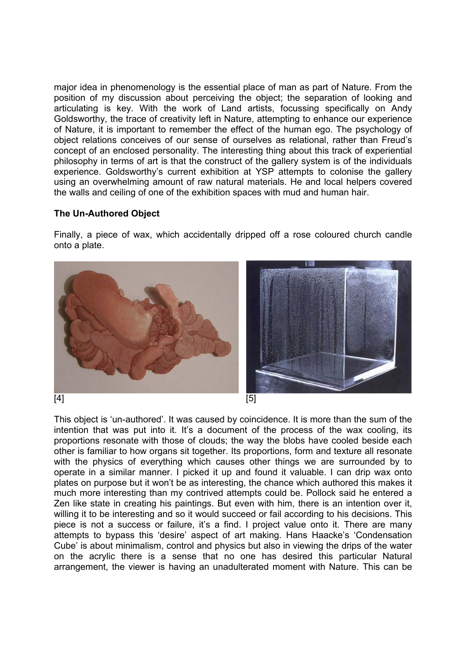major idea in phenomenology is the essential place of man as part of Nature. From the position of my discussion about perceiving the object; the separation of looking and articulating is key. With the work of Land artists, focussing specifically on Andy Goldsworthy, the trace of creativity left in Nature, attempting to enhance our experience of Nature, it is important to remember the effect of the human ego. The psychology of object relations conceives of our sense of ourselves as relational, rather than Freud's concept of an enclosed personality. The interesting thing about this track of experiential philosophy in terms of art is that the construct of the gallery system is of the individuals experience. Goldsworthy's current exhibition at YSP attempts to colonise the gallery using an overwhelming amount of raw natural materials. He and local helpers covered the walls and ceiling of one of the exhibition spaces with mud and human hair.

#### **The Un-Authored Object**

Finally, a piece of wax, which accidentally dripped off a rose coloured church candle onto a plate.



This object is 'un-authored'. It was caused by coincidence. It is more than the sum of the intention that was put into it. It's a document of the process of the wax cooling, its proportions resonate with those of clouds; the way the blobs have cooled beside each other is familiar to how organs sit together. Its proportions, form and texture all resonate with the physics of everything which causes other things we are surrounded by to operate in a similar manner. I picked it up and found it valuable. I can drip wax onto plates on purpose but it won't be as interesting, the chance which authored this makes it much more interesting than my contrived attempts could be. Pollock said he entered a Zen like state in creating his paintings. But even with him, there is an intention over it, willing it to be interesting and so it would succeed or fail according to his decisions. This piece is not a success or failure, it's a find. I project value onto it. There are many attempts to bypass this 'desire' aspect of art making. Hans Haacke's 'Condensation Cube' is about minimalism, control and physics but also in viewing the drips of the water on the acrylic there is a sense that no one has desired this particular Natural arrangement, the viewer is having an unadulterated moment with Nature. This can be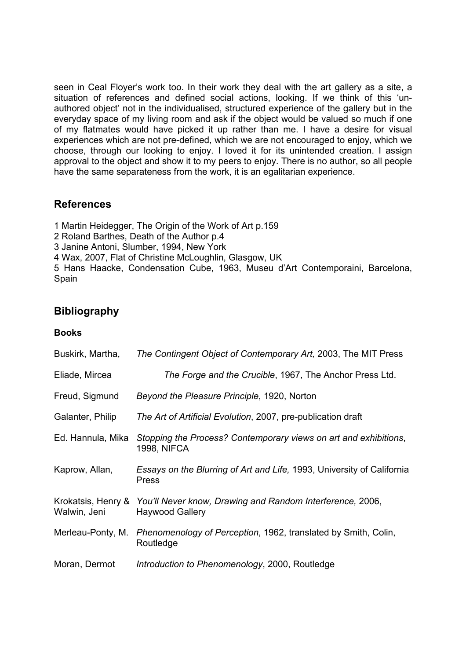seen in Ceal Floyer's work too. In their work they deal with the art gallery as a site, a situation of references and defined social actions, looking. If we think of this 'unauthored object' not in the individualised, structured experience of the gallery but in the everyday space of my living room and ask if the object would be valued so much if one of my flatmates would have picked it up rather than me. I have a desire for visual experiences which are not pre-defined, which we are not encouraged to enjoy, which we choose, through our looking to enjoy. I loved it for its unintended creation. I assign approval to the object and show it to my peers to enjoy. There is no author, so all people have the same separateness from the work, it is an egalitarian experience.

## **References**

1 Martin Heidegger, The Origin of the Work of Art p.159

- 2 Roland Barthes, Death of the Author p.4
- 3 Janine Antoni, Slumber, 1994, New York

4 Wax, 2007, Flat of Christine McLoughlin, Glasgow, UK

5 Hans Haacke, Condensation Cube, 1963, Museu d'Art Contemporaini, Barcelona, Spain

# **Bibliography**

#### **Books**

| Buskirk, Martha,                   | The Contingent Object of Contemporary Art, 2003, The MIT Press                         |
|------------------------------------|----------------------------------------------------------------------------------------|
| Eliade, Mircea                     | The Forge and the Crucible, 1967, The Anchor Press Ltd.                                |
| Freud, Sigmund                     | Beyond the Pleasure Principle, 1920, Norton                                            |
| Galanter, Philip                   | The Art of Artificial Evolution, 2007, pre-publication draft                           |
| Ed. Hannula, Mika                  | Stopping the Process? Contemporary views on art and exhibitions,<br><b>1998, NIFCA</b> |
| Kaprow, Allan,                     | Essays on the Blurring of Art and Life, 1993, University of California<br><b>Press</b> |
| Krokatsis, Henry &<br>Walwin, Jeni | You'll Never know, Drawing and Random Interference, 2006,<br><b>Haywood Gallery</b>    |
| Merleau-Ponty, M.                  | Phenomenology of Perception, 1962, translated by Smith, Colin,<br>Routledge            |
| Moran, Dermot                      | Introduction to Phenomenology, 2000, Routledge                                         |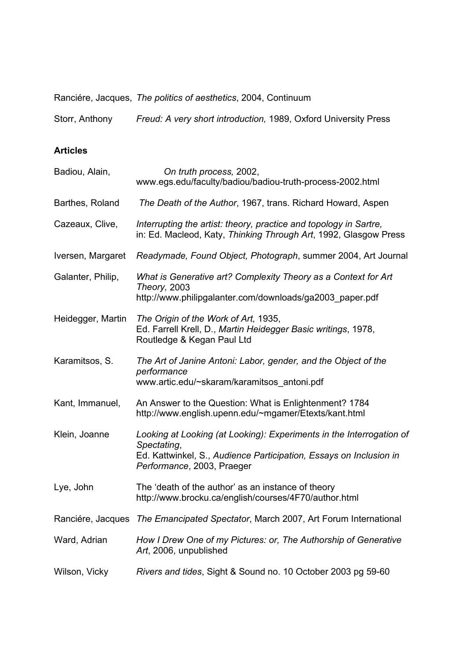Ranciére, Jacques, *The politics of aesthetics*, 2004, Continuum

Storr, Anthony *Freud: A very short introduction,* 1989, Oxford University Press

#### **Articles**

| Badiou, Alain,    | On truth process, 2002,<br>www.egs.edu/faculty/badiou/badiou-truth-process-2002.html                                                                                                    |
|-------------------|-----------------------------------------------------------------------------------------------------------------------------------------------------------------------------------------|
| Barthes, Roland   | The Death of the Author, 1967, trans. Richard Howard, Aspen                                                                                                                             |
| Cazeaux, Clive,   | Interrupting the artist: theory, practice and topology in Sartre,<br>in: Ed. Macleod, Katy, Thinking Through Art, 1992, Glasgow Press                                                   |
| Iversen, Margaret | Readymade, Found Object, Photograph, summer 2004, Art Journal                                                                                                                           |
| Galanter, Philip, | What is Generative art? Complexity Theory as a Context for Art<br><b>Theory, 2003</b><br>http://www.philipgalanter.com/downloads/ga2003_paper.pdf                                       |
| Heidegger, Martin | The Origin of the Work of Art, 1935,<br>Ed. Farrell Krell, D., Martin Heidegger Basic writings, 1978,<br>Routledge & Kegan Paul Ltd                                                     |
| Karamitsos, S.    | The Art of Janine Antoni: Labor, gender, and the Object of the<br>performance<br>www.artic.edu/~skaram/karamitsos_antoni.pdf                                                            |
| Kant, Immanuel,   | An Answer to the Question: What is Enlightenment? 1784<br>http://www.english.upenn.edu/~mgamer/Etexts/kant.html                                                                         |
| Klein, Joanne     | Looking at Looking (at Looking): Experiments in the Interrogation of<br>Spectating,<br>Ed. Kattwinkel, S., Audience Participation, Essays on Inclusion in<br>Performance, 2003, Praeger |
| Lye, John         | The 'death of the author' as an instance of theory<br>http://www.brocku.ca/english/courses/4F70/author.html                                                                             |
| Ranciére, Jacques | The Emancipated Spectator, March 2007, Art Forum International                                                                                                                          |
| Ward, Adrian      | How I Drew One of my Pictures: or, The Authorship of Generative<br>Art, 2006, unpublished                                                                                               |
| Wilson, Vicky     | Rivers and tides, Sight & Sound no. 10 October 2003 pg 59-60                                                                                                                            |